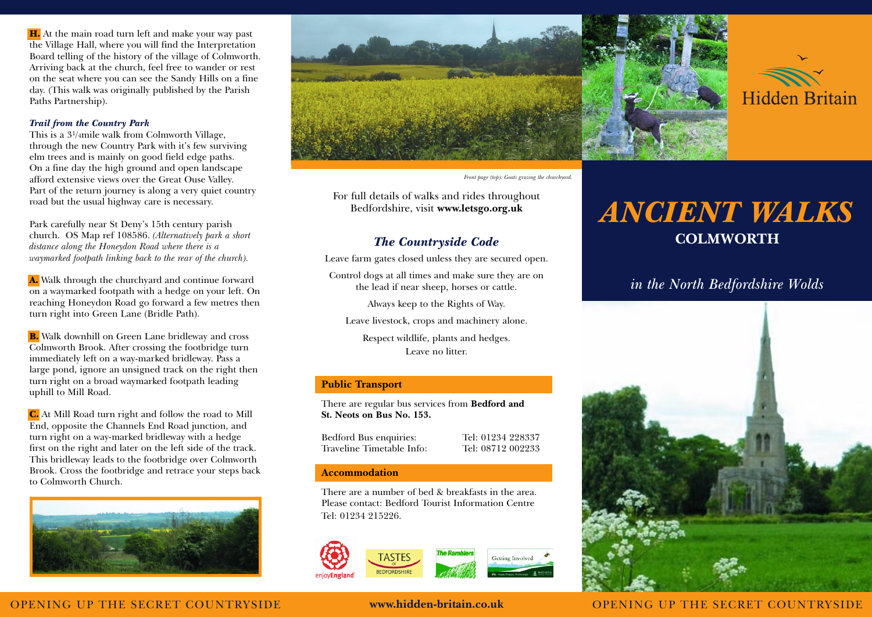H. At the main road turn left and make your way past the Village Hall, where you will find the Interpretation Board telling of the history of the village of Colmworth. Arriving back at the church, feel free to wander or rest on the seat where you can see the Sandy Hills on a fine day. (This walk was originally published by the Parish Paths Partnership).

#### *Trail from the Country Park*

This is a 31/4mile walk from Colmworth Village, through the new Country Park with it's few surviving elm trees and is mainly on good field edge paths. On a fine day the high ground and open landscape afford extensive views over the Great Ouse Valley. Part of the return journey is along a very quiet country road but the usual highway care is necessary.

Park carefully near St Deny's 15th century parish church. OS Map ref 108586. *(Alternatively park a short distance along the Honeydon Road where there is a waymarked footpath linking back to the rear of the church).*

A. Walk through the churchyard and continue forward on a waymarked footpath with a hedge on your left. On reaching Honeydon Road go forward a few metres then turn right into Green Lane (Bridle Path).

**B.** Walk downhill on Green Lane bridleway and cross Colmworth Brook. After crossing the footbridge turn immediately left on a way-marked bridleway. Pass a large pond, ignore an unsigned track on the right then turn right on a broad waymarked footpath leading uphill to Mill Road.

C. At Mill Road turn right and follow the road to Mill End, opposite the Channels End Road junction, and turn right on a way-marked bridleway with a hedge first on the right and later on the left side of the track. This bridleway leads to the footbridge over Colmworth Brook. Cross the footbridge and retrace your steps back to Colmworth Church.







For full details of walks and rides throughout Bedfordshire, visit **www.letsgo.org.uk**

# *The Countryside Code*

Leave farm gates closed unless they are secured open.

Control dogs at all times and make sure they are on the lead if near sheep, horses or cattle.

Always keep to the Rights of Way.

Leave livestock, crops and machinery alone.

Respect wildlife, plants and hedges. Leave no litter.

## **Public Transport**

There are regular bus services from **Bedford and St. Neots on Bus No. 153.**

Bedford Bus enquiries: Tel: 01234 228337 Traveline Timetable Info: Tel: 08712 002233

### **Accommodation**

There are a number of bed & breakfasts in the area. Please contact: Bedford Tourist Information Centre Tel: 01234 215226.



# *ANCIENT WALKS* **COLMWORTH**

# *in the North Bedfordshire Wolds*



## OPENING UP THE SECRET COUNTRYSIDE **www.hidden-britain.co.uk** OPENING UP THE SECRET COUNTRYSIDE